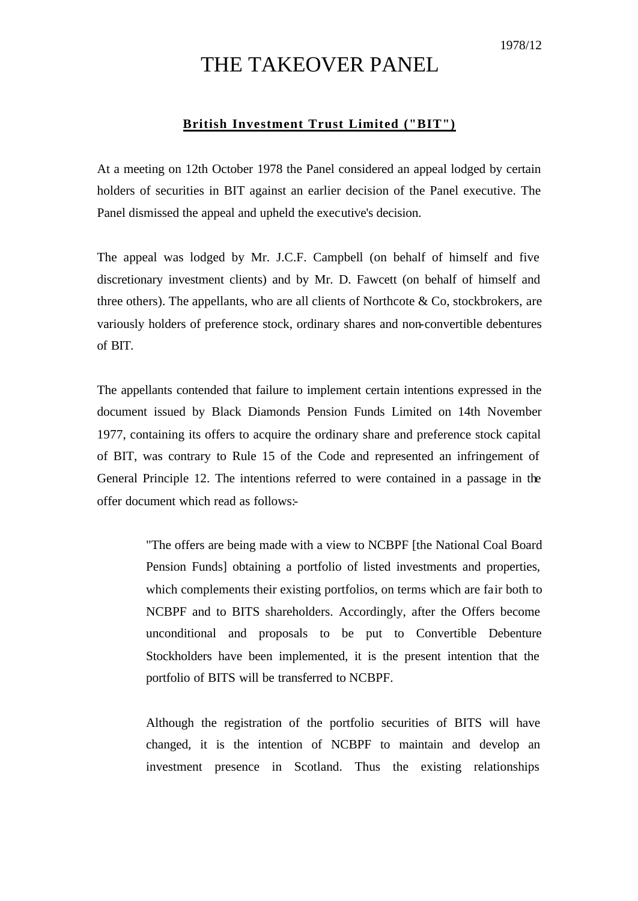## THE TAKEOVER PANEL

## **British Investment Trust Limited ("BIT")**

At a meeting on 12th October 1978 the Panel considered an appeal lodged by certain holders of securities in BIT against an earlier decision of the Panel executive. The Panel dismissed the appeal and upheld the executive's decision.

The appeal was lodged by Mr. J.C.F. Campbell (on behalf of himself and five discretionary investment clients) and by Mr. D. Fawcett (on behalf of himself and three others). The appellants, who are all clients of Northcote  $\&$  Co, stockbrokers, are variously holders of preference stock, ordinary shares and non-convertible debentures of BIT.

The appellants contended that failure to implement certain intentions expressed in the document issued by Black Diamonds Pension Funds Limited on 14th November 1977, containing its offers to acquire the ordinary share and preference stock capital of BIT, was contrary to Rule 15 of the Code and represented an infringement of General Principle 12. The intentions referred to were contained in a passage in the offer document which read as follows:-

> "The offers are being made with a view to NCBPF [the National Coal Board Pension Funds] obtaining a portfolio of listed investments and properties, which complements their existing portfolios, on terms which are fair both to NCBPF and to BITS shareholders. Accordingly, after the Offers become unconditional and proposals to be put to Convertible Debenture Stockholders have been implemented, it is the present intention that the portfolio of BITS will be transferred to NCBPF.

> Although the registration of the portfolio securities of BITS will have changed, it is the intention of NCBPF to maintain and develop an investment presence in Scotland. Thus the existing relationships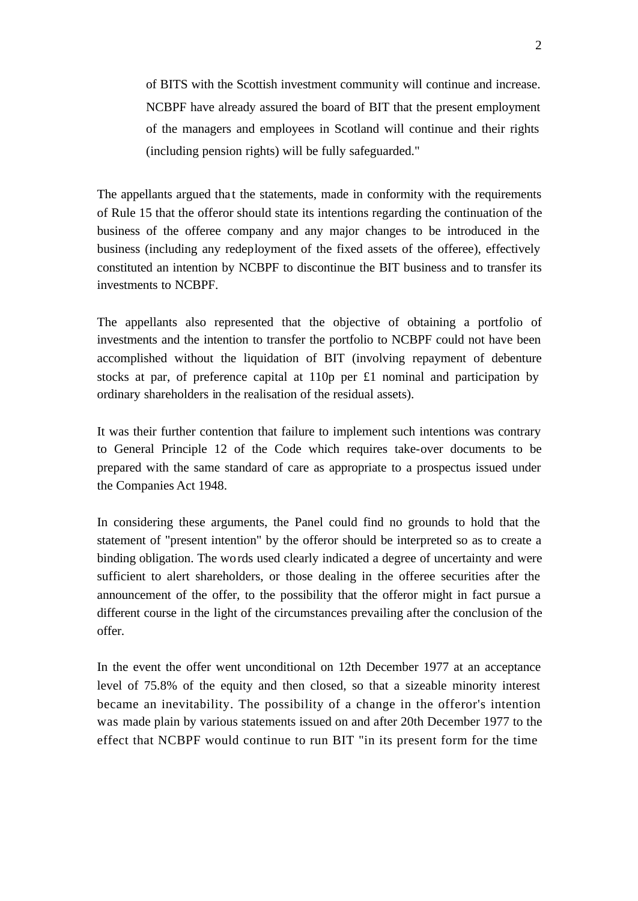of BITS with the Scottish investment community will continue and increase. NCBPF have already assured the board of BIT that the present employment of the managers and employees in Scotland will continue and their rights (including pension rights) will be fully safeguarded."

The appellants argued that the statements, made in conformity with the requirements of Rule 15 that the offeror should state its intentions regarding the continuation of the business of the offeree company and any major changes to be introduced in the business (including any redeployment of the fixed assets of the offeree), effectively constituted an intention by NCBPF to discontinue the BIT business and to transfer its investments to NCBPF.

The appellants also represented that the objective of obtaining a portfolio of investments and the intention to transfer the portfolio to NCBPF could not have been accomplished without the liquidation of BIT (involving repayment of debenture stocks at par, of preference capital at 110p per £1 nominal and participation by ordinary shareholders in the realisation of the residual assets).

It was their further contention that failure to implement such intentions was contrary to General Principle 12 of the Code which requires take-over documents to be prepared with the same standard of care as appropriate to a prospectus issued under the Companies Act 1948.

In considering these arguments, the Panel could find no grounds to hold that the statement of "present intention" by the offeror should be interpreted so as to create a binding obligation. The words used clearly indicated a degree of uncertainty and were sufficient to alert shareholders, or those dealing in the offeree securities after the announcement of the offer, to the possibility that the offeror might in fact pursue a different course in the light of the circumstances prevailing after the conclusion of the offer.

In the event the offer went unconditional on 12th December 1977 at an acceptance level of 75.8% of the equity and then closed, so that a sizeable minority interest became an inevitability. The possibility of a change in the offeror's intention was made plain by various statements issued on and after 20th December 1977 to the effect that NCBPF would continue to run BIT "in its present form for the time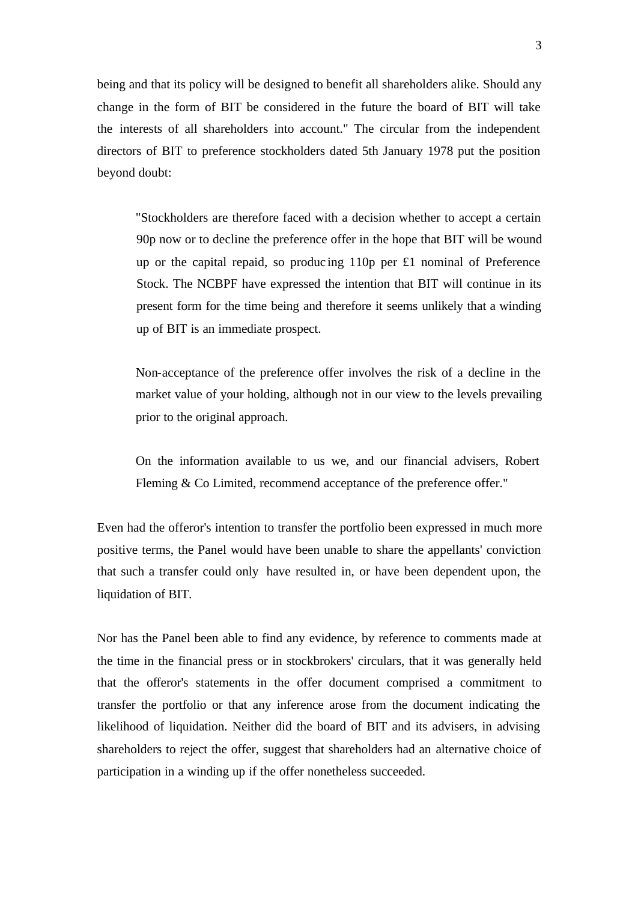being and that its policy will be designed to benefit all shareholders alike. Should any change in the form of BIT be considered in the future the board of BIT will take the interests of all shareholders into account." The circular from the independent directors of BIT to preference stockholders dated 5th January 1978 put the position beyond doubt:

"Stockholders are therefore faced with a decision whether to accept a certain 90p now or to decline the preference offer in the hope that BIT will be wound up or the capital repaid, so produc ing 110p per £1 nominal of Preference Stock. The NCBPF have expressed the intention that BIT will continue in its present form for the time being and therefore it seems unlikely that a winding up of BIT is an immediate prospect.

Non-acceptance of the preference offer involves the risk of a decline in the market value of your holding, although not in our view to the levels prevailing prior to the original approach.

On the information available to us we, and our financial advisers, Robert Fleming & Co Limited, recommend acceptance of the preference offer."

Even had the offeror's intention to transfer the portfolio been expressed in much more positive terms, the Panel would have been unable to share the appellants' conviction that such a transfer could only have resulted in, or have been dependent upon, the liquidation of BIT.

Nor has the Panel been able to find any evidence, by reference to comments made at the time in the financial press or in stockbrokers' circulars, that it was generally held that the offeror's statements in the offer document comprised a commitment to transfer the portfolio or that any inference arose from the document indicating the likelihood of liquidation. Neither did the board of BIT and its advisers, in advising shareholders to reject the offer, suggest that shareholders had an alternative choice of participation in a winding up if the offer nonetheless succeeded.